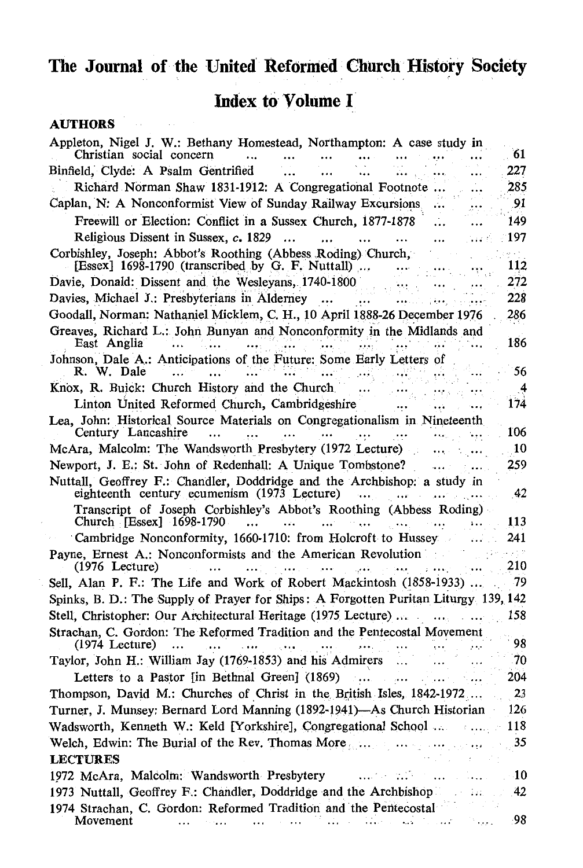## **The Journal of the United· Reformed Church History Society**

## **Index to Volume I**

## **AUTHORS**

| Appleton, Nigel J. W.: Bethany Homestead, Northampton: A case study in<br>Christian social concern                      | 61  |
|-------------------------------------------------------------------------------------------------------------------------|-----|
| Binfield, Clyde: A Psalm Gentrified                                                                                     | 227 |
| Richard Norman Shaw 1831-1912: A Congregational Footnote                                                                | 285 |
| Caplan, N: A Nonconformist View of Sunday Railway Excursions                                                            | .91 |
| Freewill or Election: Conflict in a Sussex Church, 1877-1878                                                            | 149 |
| Religious Dissent in Sussex, c. 1829<br>                                                                                | 197 |
| Corbishley, Joseph: Abbot's Roothing (Abbess Roding) Church,<br>[Essex] 1698-1790 (transcribed by G. F. Nuttall)        | 112 |
| Davie, Donald: Dissent and the Wesleyans, 1740-1800                                                                     | 272 |
| Davies, Michael J.: Presbyterians in Alderney                                                                           | 228 |
| Goodall, Norman: Nathaniel Micklem, C. H., 10 April 1888-26 December 1976                                               | 286 |
| Greaves, Richard L.: John Bunyan and Nonconformity in the Midlands and<br>East Anglia                                   | 186 |
| Johnson, Dale A.: Anticipations of the Future: Some Early Letters of<br>R. W. Dale                                      | 56  |
| Knox, R. Buick: Church History and the Church                                                                           | 4   |
| Linton United Reformed Church, Cambridgeshire                                                                           | 174 |
| Lea, John: Historical Source Materials on Congregationalism in Nineteenth<br>Century Lancashire                         | 106 |
| McAra, Malcolm: The Wandsworth Presbytery (1972 Lecture)                                                                | 10  |
| Newport, J. E.; St. John of Redenhall: A Unique Tombstone?                                                              | 259 |
| Nuttall, Geoffrey F.: Chandler, Doddridge and the Archbishop: a study in<br>eighteenth century ecumenism (1973 Lecture) | 42  |
| Transcript of Joseph Corbishley's Abbot's Roothing (Abbess Roding)<br>Church $[Essex] 1698-1790$                        | 113 |
| Cambridge Nonconformity, 1660-1710: from Holcroft to Hussey                                                             | 241 |
| Payne, Ernest A.: Nonconformists and the American Revolution<br>$(1976$ Lecture)                                        | 210 |
| Sell, Alan P. F.: The Life and Work of Robert Mackintosh (1858-1933)                                                    | -79 |
| Spinks, B. D.: The Supply of Prayer for Ships: A Forgotten Puritan Liturgy 139, 142                                     |     |
| Stell, Christopher: Our Architectural Heritage (1975 Lecture)                                                           | 158 |
| Strachan, C. Gordon: The Reformed Tradition and the Pentecostal Movement<br>$(1974$ Lecture)                            | 98  |
| Taylor, John H.: William Jay (1769-1853) and his Admirers                                                               | 70  |
| Letters to a Pastor [in Bethnal Green] (1869)                                                                           | 204 |
| Thompson, David M.: Churches of Christ in the British Isles, 1842-1972                                                  | 23  |
| Turner, J. Munsey: Bernard Lord Manning (1892-1941)-As Church Historian                                                 | 126 |
| Wadsworth, Kenneth W.: Keld [Yorkshire], Congregational School                                                          | 118 |
| Welch, Edwin: The Burial of the Rev. Thomas More                                                                        | 35  |
| <b>LECTURES</b>                                                                                                         |     |
| 1972 McAra, Malcolm: Wandsworth Presbytery                                                                              | 10  |
| 1973 Nuttall, Geoffrey F.: Chandler, Doddridge and the Archbishop                                                       | 42  |
| 1974 Strachan, C. Gordon: Reformed Tradition and the Pentecostal<br>Movement                                            | 98  |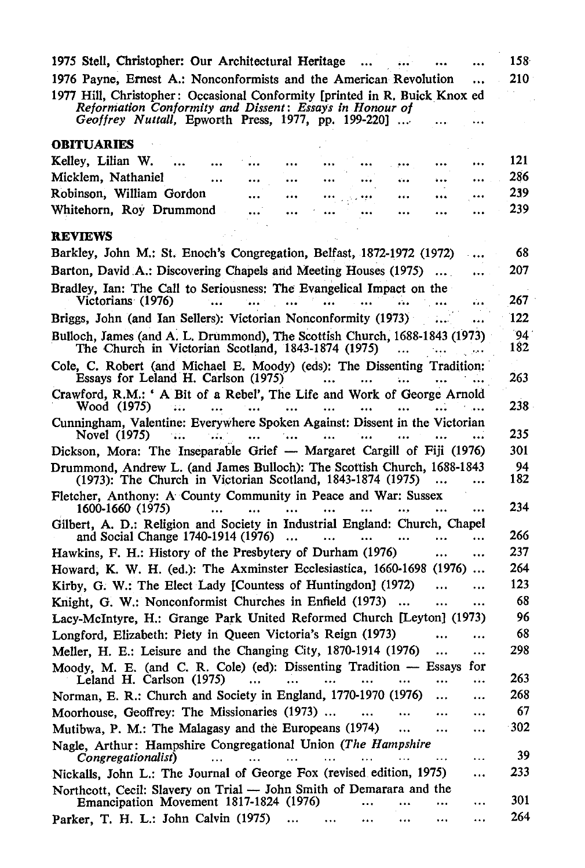| 1975 Stell, Christopher: Our Architectural Heritage                                                                                                | 158       |
|----------------------------------------------------------------------------------------------------------------------------------------------------|-----------|
| 1976 Payne, Ernest A.: Nonconformists and the American Revolution<br>                                                                              | 210       |
| 1977 Hill, Christopher: Occasional Conformity [printed in R. Buick Knox ed<br>Reformation Conformity and Dissent: Essays in Honour of              |           |
| Geoffrey Nuttall, Epworth Press, 1977, pp. 199-220]                                                                                                |           |
| <b>OBITUARIES</b>                                                                                                                                  |           |
| Kelley, Lilian W.<br>                                                                                                                              | 121       |
| Micklem, Nathaniel<br>$\ddot{\phantom{a}}$<br>$\ddot{\phantom{1}}$<br>                                                                             | 286       |
| $\ddotsc$<br>Robinson, William Gordon                                                                                                              | 239       |
| <br><br><br>Whitehorn, Roy Drummond                                                                                                                | 239       |
| <br>$\ddot{\phantom{0}}$                                                                                                                           |           |
| <b>REVIEWS</b>                                                                                                                                     |           |
| Barkley, John M.: St. Enoch's Congregation, Belfast, 1872-1972 (1972)                                                                              | 68        |
| Barton, David A.: Discovering Chapels and Meeting Houses (1975)<br>                                                                                | 207       |
| Bradley, Ian: The Call to Seriousness: The Evangelical Impact on the                                                                               |           |
| Victorians (1976)<br>$\ddotsc$                                                                                                                     | 267       |
| Briggs, John (and Ian Sellers): Victorian Nonconformity (1973)                                                                                     | 122       |
| Bulloch, James (and A. L. Drummond), The Scottish Church, 1688-1843 (1973)                                                                         | `94       |
| The Church in Victorian Scotland, 1843-1874 (1975)<br>$\ddotsc$<br>$\cdots$                                                                        | 182       |
| Cole, C. Robert (and Michael E. Moody) (eds): The Dissenting Tradition:<br>Essays for Leland H. Carlson (1975)<br>$\cdots$<br>$\cdots$             | 263       |
| Crawford, R.M.: 'A Bit of a Rebel', The Life and Work of George Arnold<br>Wood (1975)<br>-44<br>$\cdots$<br>$\cdots$<br>$\cdots$                   | 238       |
| Cunningham, Valentine: Everywhere Spoken Against: Dissent in the Victorian                                                                         |           |
| Novel (1975)<br>744<br>$\mathbf{a}$<br>$\cdots$<br>$\cdots$<br>$\ddotsc$<br>                                                                       | 235       |
| Dickson, Mora: The Inseparable Grief — Margaret Cargill of Fiji (1976)                                                                             | 301       |
| Drummond, Andrew L. (and James Bulloch): The Scottish Church, 1688-1843<br>(1973): The Church in Victorian Scotland, 1843-1874 (1975)              | 94<br>182 |
| Fletcher, Anthony: A County Community in Peace and War: Sussex                                                                                     |           |
| 1600-1660 (1975)<br>                                                                                                                               | 234       |
| Gilbert, A. D.: Religion and Society in Industrial England: Church, Chapel<br>and Social Change 1740-1914 (1976)<br>$\cdots$<br><br>               | 266       |
| Hawkins, F. H.: History of the Presbytery of Durham (1976)<br>$\ddotsc$<br>                                                                        | 237       |
| Howard, K. W. H. (ed.): The Axminster Ecclesiastica, 1660-1698 (1976)<br>$\cdots$                                                                  | 264       |
| Kirby, G. W.: The Elect Lady [Countess of Huntingdon] (1972)<br>                                                                                   | 123       |
| Knight, G. W.: Nonconformist Churches in Enfield (1973)<br>$\ddotsc$<br><br>                                                                       | 68        |
| Lacy-McIntyre, H.: Grange Park United Reformed Church [Leyton] (1973)                                                                              | 96        |
| Longford, Elizabeth: Piety in Queen Victoria's Reign (1973)<br><br>                                                                                | 68        |
| Meller, H. E.: Leisure and the Changing City, 1870-1914 (1976)<br><br>                                                                             | 298       |
| Moody, M. E. (and C. R. Cole) (ed): Dissenting Tradition - Essays<br>for<br>Leland H. Carlson (1975)<br>$\ddotsc$<br>$\ddotsc$<br>$\cdots$<br><br> | 263       |
| Norman, E. R.: Church and Society in England, 1770-1970 (1976)<br>$\ddot{\phantom{a}}$<br>$\ddotsc$                                                | 268       |
| Moorhouse, Geoffrey: The Missionaries (1973)<br><br>                                                                                               | 67        |
| Mutibwa, P. M.: The Malagasy and the Europeans (1974)<br>$\ddotsc$                                                                                 | -302      |
| <br>Nagle, Arthur: Hampshire Congregational Union (The Hampshire                                                                                   |           |
| Congregationalist)<br>$\ddotsc$<br>.                                                                                                               | 39        |
| Nickalls, John L.: The Journal of George Fox (revised edition, 1975)<br>$\ddotsc$                                                                  | 233       |
| Northcott, Cecil: Slavery on Trial — John Smith of Demarara and the<br>Emancipation Movement 1817-1824 (1976)<br>$\cdots$<br>                      | 301       |
| Parker, T. H. L.: John Calvin (1975)<br><br>$\cdots$                                                                                               | 264       |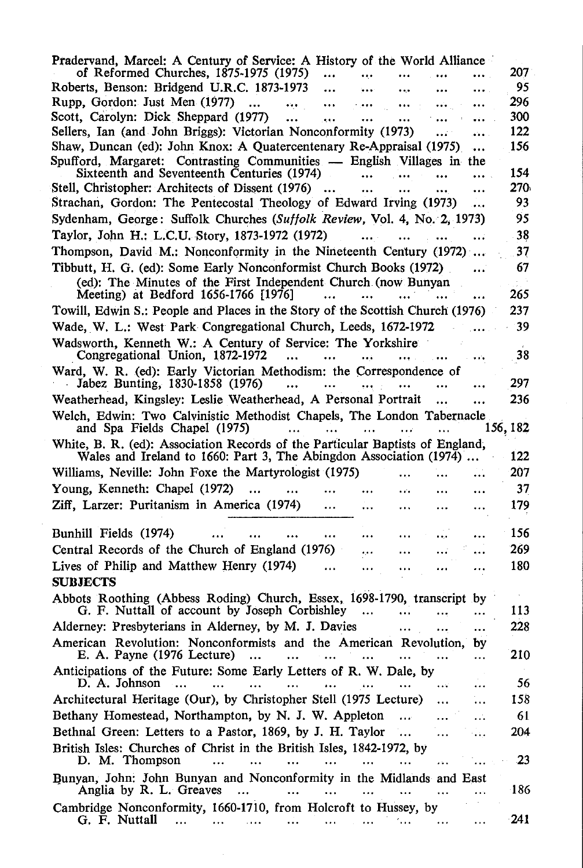| of Reformed Churches, 1875-1975 (1975)<br>                                                                                                          | Pradervand, Marcel: A Century of Service: A History of the World Alliance<br>207. |
|-----------------------------------------------------------------------------------------------------------------------------------------------------|-----------------------------------------------------------------------------------|
| Roberts, Benson: Bridgend U.R.C. 1873-1973<br><br><br>$\cdots$                                                                                      | 95                                                                                |
| Rupp, Gordon: Just Men (1977)<br>$\ddotsc$<br><br>                                                                                                  | 296                                                                               |
| Scott, Carolyn: Dick Sheppard (1977)<br><br><br>                                                                                                    | 300                                                                               |
| Sellers, Ian (and John Briggs): Victorian Nonconformity (1973)<br>.                                                                                 | 122                                                                               |
| Shaw, Duncan (ed): John Knox: A Quatercentenary Re-Appraisal (1975)<br>                                                                             | 156                                                                               |
| Spufford, Margaret: Contrasting Communities — English Villages in the                                                                               |                                                                                   |
| Sixteenth and Seventeenth Centuries (1974)<br>                                                                                                      | 154                                                                               |
| Stell, Christopher: Architects of Dissent (1976)<br>$\cdots$                                                                                        | 270.                                                                              |
| Strachan, Gordon: The Pentecostal Theology of Edward Irving (1973)<br>$\ddotsc$                                                                     | 93                                                                                |
| Sydenham, George: Suffolk Churches (Suffolk Review, Vol. 4, No. 2, 1973)                                                                            | 95                                                                                |
| Taylor, John H.; L.C.U. Story, 1873-1972 (1972)<br>                                                                                                 | 38                                                                                |
| Thompson, David M.: Nonconformity in the Nineteenth Century (1972)                                                                                  | 37                                                                                |
| Tibbutt, H. G. (ed): Some Early Nonconformist Church Books (1972)<br>                                                                               | 67                                                                                |
| (ed): The Minutes of the First Independent Church (now Bunyan                                                                                       |                                                                                   |
| Meeting) at Bedford 1656-1766 [1976]                                                                                                                | 265                                                                               |
| Towill, Edwin S.: People and Places in the Story of the Scottish Church (1976)                                                                      | 237                                                                               |
| Wade, W. L.: West Park Congregational Church, Leeds, 1672-1972                                                                                      | 39                                                                                |
| Wadsworth, Kenneth W.: A Century of Service: The Yorkshire                                                                                          |                                                                                   |
| Congregational Union, 1872-1972                                                                                                                     | 38                                                                                |
| Ward, W. R. (ed): Early Victorian Methodism: the Correspondence of<br>Jabez Bunting, 1830-1858 (1976)<br>                                           | 297                                                                               |
| Weatherhead, Kingsley: Leslie Weatherhead, A Personal Portrait                                                                                      | 236                                                                               |
| Welch, Edwin: Two Calvinistic Methodist Chapels, The London Tabernacle                                                                              |                                                                                   |
| and Spa Fields Chapel (1975)<br>$\cdots$<br>$\cdots$                                                                                                | 156, 182                                                                          |
| White, B. R. (ed): Association Records of the Particular Baptists of England,<br>Wales and Ireland to 1660: Part 3, The Abingdon Association (1974) | 122                                                                               |
| Williams, Neville: John Foxe the Martyrologist (1975)                                                                                               | 207                                                                               |
| Young, Kenneth: Chapel (1972)                                                                                                                       | 37                                                                                |
|                                                                                                                                                     |                                                                                   |
| Ziff, Larzer: Puritanism in America (1974)                                                                                                          | 179                                                                               |
| Bunhill Fields (1974)<br><br>                                                                                                                       |                                                                                   |
|                                                                                                                                                     |                                                                                   |
|                                                                                                                                                     | 156                                                                               |
| Central Records of the Church of England (1976)<br>.<br>.                                                                                           | 269                                                                               |
| Lives of Philip and Matthew Henry (1974)                                                                                                            | 180                                                                               |
| <b>SUBJECTS</b>                                                                                                                                     |                                                                                   |
| Abbots Roothing (Abbess Roding) Church, Essex, 1698-1790, transcript by                                                                             |                                                                                   |
| G. F. Nuttall of account by Joseph Corbishley<br>$\ddotsc$                                                                                          | 113                                                                               |
| Alderney: Presbyterians in Alderney, by M. J. Davies                                                                                                | 228                                                                               |
| American Revolution: Nonconformists and the American Revolution,<br>by                                                                              |                                                                                   |
| E. A. Payne (1976 Lecture)<br><br>Anticipations of the Future: Some Early Letters of R. W. Dale, by                                                 | 210                                                                               |
| D. A. Johnson                                                                                                                                       | 56                                                                                |
| Architectural Heritage (Our), by Christopher Stell (1975 Lecture)                                                                                   | 158                                                                               |
| Bethany Homestead, Northampton, by N. J. W. Appleton<br>$\bullet$ + +                                                                               | 61                                                                                |
| Bethnal Green: Letters to a Pastor, 1869, by J. H. Taylor<br><br><br>$\sim$ 4 $\pm$                                                                 | 204                                                                               |
| British Isles: Churches of Christ in the British Isles, 1842-1972, by<br>D. M. Thompson<br><br><br>$\cdots$                                         | 23                                                                                |
|                                                                                                                                                     |                                                                                   |
| Bunyan, John: John Bunyan and Nonconformity in the Midlands and East<br>Anglia by R. L. Greaves<br>.                                                | 186                                                                               |
| Cambridge Nonconformity, 1660-1710, from Holcroft to Hussey, by<br>G. F. Nuttall                                                                    | $-241$                                                                            |